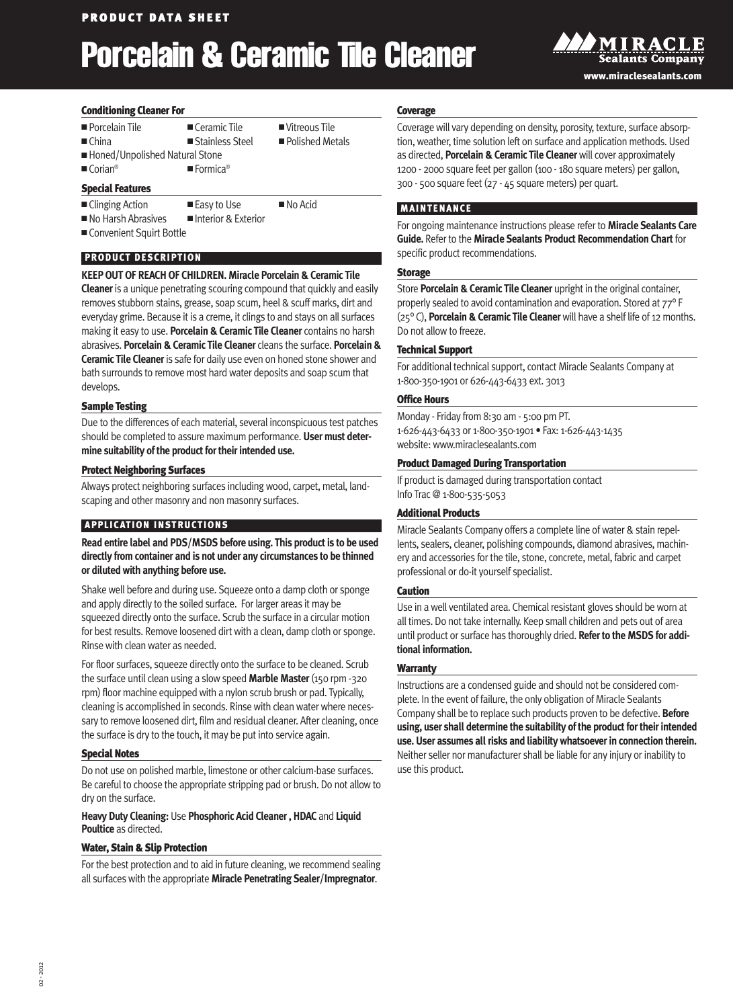## **Porcelain & Ceramic Tile Cleaner**



#### **Conditioning Cleaner For**

| Porcelain Tile<br>$\blacksquare$ China                                                                        | $\blacksquare$ Ceramic Tile<br>■ Stainless Steel | ■ Vitreous Tile<br>■ Polished Metals |  |  |
|---------------------------------------------------------------------------------------------------------------|--------------------------------------------------|--------------------------------------|--|--|
| ■ Honed/Unpolished Natural Stone<br>$\blacksquare$ Corian <sup>®</sup><br>$\blacksquare$ Formica <sup>®</sup> |                                                  |                                      |  |  |
| <b>Special Features</b>                                                                                       |                                                  |                                      |  |  |
| ■ Clinging Action                                                                                             | ■ Easy to Use                                    | $\blacksquare$ No Acid               |  |  |

■ No Harsh Abrasives ■ Interior & Exterior

■ Convenient Squirt Bottle

## **PRODUCT DESCRIPTION**

## **KEEPOUTOF REACH OF CHILDREN. Miracle Porcelain & Ceramic Tile**

**Cleaner**is a unique penetrating scouring compound that quickly and easily removes stubborn stains, grease, soap scum, heel & scuff marks, dirt and everyday grime. Because it is a creme, it clings to and stays on all surfaces making it easy to use. **Porcelain & Ceramic Tile Cleaner** contains no harsh abrasives. **Porcelain & Ceramic Tile Cleaner** cleans the surface. **Porcelain & Ceramic Tile Cleaner**is safe for daily use even on honed stone shower and bath surrounds to remove most hard water deposits and soap scum that develops.

#### **Sample Testing**

Due to the differences of each material, several inconspicuous test patches should be completed to assure maximum performance. **User must determine suitability of the product fortheirintended use.**

#### **Protect Neighboring Surfaces**

Always protect neighboring surfaces including wood, carpet, metal, landscaping and other masonry and non masonry surfaces.

## **APPLICATION INSTRUCTIONS**

**Read entire label and PDS/MSDS before using. This product is to be used directly from container and is not under any circumstances to be thinned or diluted with anything before use.**

Shake well before and during use. Squeeze onto a damp cloth or sponge and apply directly to the soiled surface. For larger areas it may be squeezed directly onto the surface. Scrub the surface in a circular motion for best results. Remove loosened dirt with a clean, damp cloth or sponge. Rinse with clean water as needed.

For floor surfaces, squeeze directly onto the surface to be cleaned. Scrub the surface until clean using a slowspeed **Marble Master**(150 rpm -320 rpm) floor machine equipped with a nylon scrub brush or pad. Typically, cleaning is accomplished in seconds. Rinse with clean water where necessary to remove loosened dirt, film and residual cleaner. After cleaning, once the surface is dry to the touch, it may be put into service again.

#### **Special Notes**

Do not use on polished marble, limestone or other calcium-base surfaces. Be careful to choose the appropriate stripping pad or brush. Do not allowto dry on the surface.

## **Heavy Duty Cleaning:** Use **Phosphoric Acid Cleaner, HDAC** and **Liquid Poultice** as directed.

## **Water, Stain & Slip Protection**

For the best protection and to aid in future cleaning, we recommend sealing all surfaceswith the appropriate **Miracle Penetrating Sealer/Impregnator**.

#### **Coverage**

Coverage will vary depending on density, porosity, texture, surface absorption, weather, time solution left on surface and application methods. Used as directed, **Porcelain & Ceramic Tile Cleaner**will cover approximately 1200 - 2000 square feet per gallon (100 - 180 square meters) per gallon, 300 - 500 square feet (27 - 45 square meters) per quart.

## **MAINTENANCE**

For ongoing maintenance instructions please refer to **Miracle Sealants Care Guide.** Refer to the **Miracle Sealants Product Recommendation Chart** for specific product recommendations.

#### **Storage**

Store **Porcelain & Ceramic Tile Cleaner** upright in the original container, properly sealed to avoid contamination and evaporation. Stored at 77° F (25° C), **Porcelain & Ceramic Tile Cleaner**will have a shelf life of 12 months. Do not allow to freeze.

## **Technical Support**

For additional technical support, contact Miracle Sealants Company at 1-800-350-1901 or 626-443-6433 ext. 3013

## **Office Hours**

Monday - Friday from 8:30 am - 5:00 pm PT. 1-626-443-6433 or 1-800-350-1901 • Fax: 1-626-443-1435 website:www.miraclesealants.com

#### **Product Damaged During Transportation**

If product is damaged during transportation contact Info Trac @ 1-800-535-5053

## **Additional Products**

Miracle Sealants Company offers a complete line of water & stain repellents, sealers, cleaner, polishing compounds, diamond abrasives, machinery and accessories for the tile, stone, concrete, metal, fabric and carpet professional or do-it yourself specialist.

## **Caution**

Use in a well ventilated area. Chemical resistant gloves should be worn at all times. Do not take internally. Keep small children and pets out of area until product or surface has thoroughly dried. **Referto the MSDS for additional information.**

## **Warranty**

Instructions are a condensed guide and should not be considered complete. In the event of failure, the only obligation of Miracle Sealants Company shall be to replace such products proven to be defective. **Before using, user shall determine the suitability of the product fortheirintended use. User assumes allrisks and liability whatsoeverin connection therein.** Neither seller nor manufacturer shall be liable for any injury or inability to use this product.